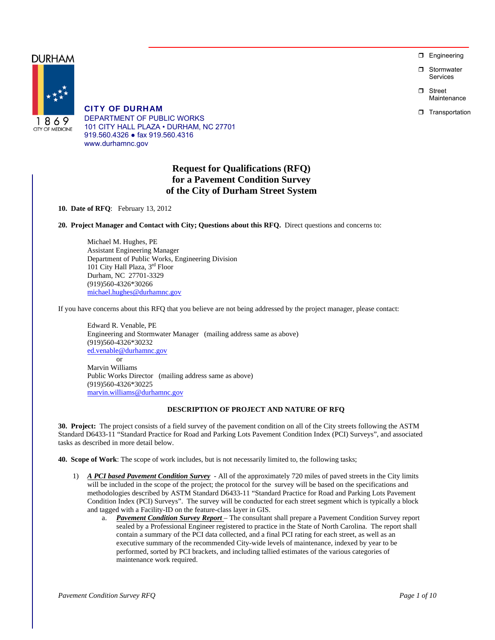**D** Engineering

 Stormwater Services

n Street Maintenance

**T** Transportation

CITY OF DURHAM DEPARTMENT OF PUBLIC WORKS 101 CITY HALL PLAZA • DURHAM, NC 27701 919.560.4326 ● fax 919.560.4316 www.durhamnc.gov

# **Request for Qualifications (RFQ) for a Pavement Condition Survey of the City of Durham Street System**

**10. Date of RFQ**: February 13, 2012

**20. Project Manager and Contact with City; Questions about this RFQ.** Direct questions and concerns to:

Michael M. Hughes, PE Assistant Engineering Manager Department of Public Works, Engineering Division 101 City Hall Plaza, 3rd Floor Durham, NC 27701-3329 (919)560-4326\*30266 michael.hughes@durhamnc.gov

If you have concerns about this RFQ that you believe are not being addressed by the project manager, please contact:

Edward R. Venable, PE Engineering and Stormwater Manager (mailing address same as above) (919)560-4326\*30232 ed.venable@durhamnc.gov

 or Marvin Williams Public Works Director (mailing address same as above) (919)560-4326\*30225 marvin.williams@durhamnc.gov

# **DESCRIPTION OF PROJECT AND NATURE OF RFQ**

**30. Project:** The project consists of a field survey of the pavement condition on all of the City streets following the ASTM Standard D6433-11 "Standard Practice for Road and Parking Lots Pavement Condition Index (PCI) Surveys", and associated tasks as described in more detail below.

**40. Scope of Work**: The scope of work includes, but is not necessarily limited to, the following tasks;

- 1) *A PCI based Pavement Condition Survey* All of the approximately 720 miles of paved streets in the City limits will be included in the scope of the project; the protocol for the survey will be based on the specifications and methodologies described by ASTM Standard D6433-11 "Standard Practice for Road and Parking Lots Pavement Condition Index (PCI) Surveys". The survey will be conducted for each street segment which is typically a block and tagged with a Facility-ID on the feature-class layer in GIS.
	- a. *Pavement Condition Survey Report*  The consultant shall prepare a Pavement Condition Survey report sealed by a Professional Engineer registered to practice in the State of North Carolina. The report shall contain a summary of the PCI data collected, and a final PCI rating for each street, as well as an executive summary of the recommended City-wide levels of maintenance, indexed by year to be performed, sorted by PCI brackets, and including tallied estimates of the various categories of maintenance work required.

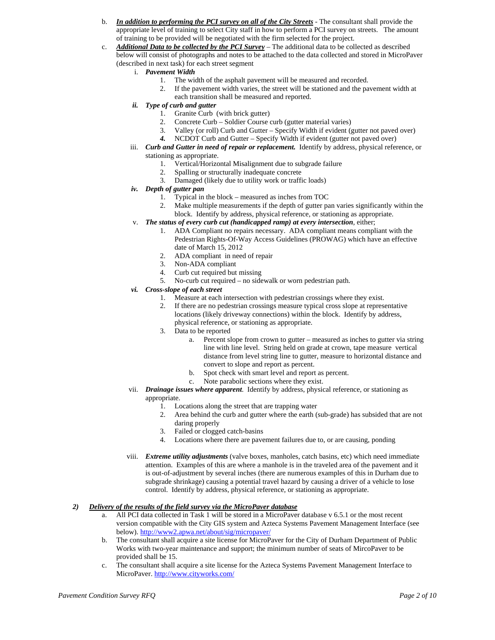- b. *In addition to performing the PCI survey on all of the City Streets* The consultant shall provide the appropriate level of training to select City staff in how to perform a PCI survey on streets. The amount of training to be provided will be negotiated with the firm selected for the project.
- c. *Additional Data to be collected by the PCI Survey* The additional data to be collected as described below will consist of photographs and notes to be attached to the data collected and stored in MicroPaver (described in next task) for each street segment
	- i. *Pavement Width*
		- 1. The width of the asphalt pavement will be measured and recorded.
		- 2. If the pavement width varies, the street will be stationed and the pavement width at each transition shall be measured and reported.
	- *ii. Type of curb and gutter* 
		- 1. Granite Curb (with brick gutter)
		- 2. Concrete Curb Soldier Course curb (gutter material varies)
		- 3. Valley (or roll) Curb and Gutter Specify Width if evident (gutter not paved over)
		- *4.* NCDOT Curb and Gutter Specify Width if evident (gutter not paved over)
	- iii. *Curb and Gutter in need of repair or replacement.* Identify by address, physical reference, or stationing as appropriate.
		- 1. Vertical/Horizontal Misalignment due to subgrade failure
		- 2. Spalling or structurally inadequate concrete
		- 3. Damaged (likely due to utility work or traffic loads)
	- *iv. Depth of gutter pan* 
		- 1. Typical in the block measured as inches from TOC
		- 2. Make multiple measurements if the depth of gutter pan varies significantly within the block. Identify by address, physical reference, or stationing as appropriate.
	- v. *The status of every curb cut (handicapped ramp) at every intersection*, either;
		- 1. ADA Compliant no repairs necessary. ADA compliant means compliant with the Pedestrian Rights-Of-Way Access Guidelines (PROWAG) which have an effective date of March 15, 2012
		- 2. ADA compliant in need of repair
		- 3. Non-ADA compliant
		- 4. Curb cut required but missing
		- 5. No-curb cut required no sidewalk or worn pedestrian path.
	- *vi. Cross-slope of each street* 
		- 1. Measure at each intersection with pedestrian crossings where they exist.<br>2. If there are no pedestrian crossings measure typical cross slope at represe
		- 2. If there are no pedestrian crossings measure typical cross slope at representative locations (likely driveway connections) within the block. Identify by address, physical reference, or stationing as appropriate.
		- 3. Data to be reported
			- a. Percent slope from crown to gutter measured as inches to gutter via string line with line level. String held on grade at crown, tape measure vertical distance from level string line to gutter, measure to horizontal distance and convert to slope and report as percent.
			- b. Spot check with smart level and report as percent.
			- c. Note parabolic sections where they exist.
	- vii. *Drainage issues where apparent*. Identify by address, physical reference, or stationing as appropriate.
		- 1. Locations along the street that are trapping water
		- 2. Area behind the curb and gutter where the earth (sub-grade) has subsided that are not daring properly
		- 3. Failed or clogged catch-basins
		- 4. Locations where there are pavement failures due to, or are causing, ponding
	- viii. *Extreme utility adjustments* (valve boxes, manholes, catch basins, etc) which need immediate attention. Examples of this are where a manhole is in the traveled area of the pavement and it is out-of-adjustment by several inches (there are numerous examples of this in Durham due to subgrade shrinkage) causing a potential travel hazard by causing a driver of a vehicle to lose control. Identify by address, physical reference, or stationing as appropriate.

# *2) Delivery of the results of the field survey via the MicroPaver database*

- a. All PCI data collected in Task 1 will be stored in a MicroPaver database v 6.5.1 or the most recent version compatible with the City GIS system and Azteca Systems Pavement Management Interface (see below). http://www2.apwa.net/about/sig/micropaver/
- b. The consultant shall acquire a site license for MicroPaver for the City of Durham Department of Public Works with two-year maintenance and support; the minimum number of seats of MircoPaver to be provided shall be 15.
- c. The consultant shall acquire a site license for the Azteca Systems Pavement Management Interface to MicroPaver. http://www.cityworks.com/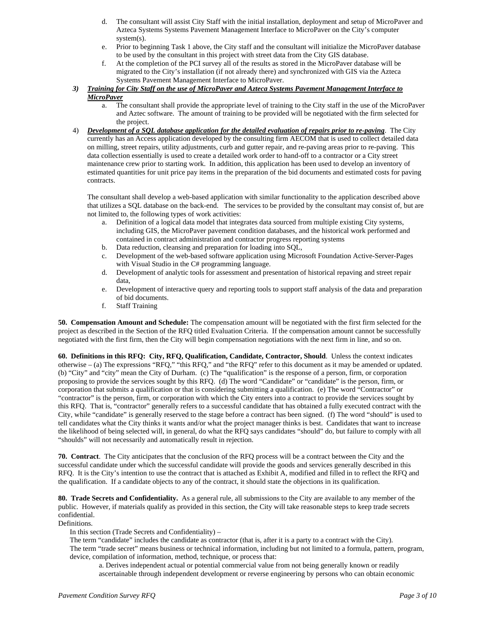- d. The consultant will assist City Staff with the initial installation, deployment and setup of MicroPaver and Azteca Systems Systems Pavement Management Interface to MicroPaver on the City's computer system(s).
- e. Prior to beginning Task 1 above, the City staff and the consultant will initialize the MicroPaver database to be used by the consultant in this project with street data from the City GIS database.
- f. At the completion of the PCI survey all of the results as stored in the MicroPaver database will be migrated to the City's installation (if not already there) and synchronized with GIS via the Azteca Systems Pavement Management Interface to MicroPaver.
- *3) Training for City Staff on the use of MicroPaver and Azteca Systems Pavement Management Interface to MicroPaver* 
	- a. The consultant shall provide the appropriate level of training to the City staff in the use of the MicroPaver and Aztec software. The amount of training to be provided will be negotiated with the firm selected for the project.
- 4) *Development of a SQL database application for the detailed evaluation of repairs prior to re-paving*. The City currently has an Access application developed by the consulting firm AECOM that is used to collect detailed data on milling, street repairs, utility adjustments, curb and gutter repair, and re-paving areas prior to re-paving. This data collection essentially is used to create a detailed work order to hand-off to a contractor or a City street maintenance crew prior to starting work. In addition, this application has been used to develop an inventory of estimated quantities for unit price pay items in the preparation of the bid documents and estimated costs for paving contracts.

The consultant shall develop a web-based application with similar functionality to the application described above that utilizes a SQL database on the back-end. The services to be provided by the consultant may consist of, but are not limited to, the following types of work activities:

- a. Definition of a logical data model that integrates data sourced from multiple existing City systems, including GIS, the MicroPaver pavement condition databases, and the historical work performed and contained in contract administration and contractor progress reporting systems
- b. Data reduction, cleansing and preparation for loading into SQL,
- c. Development of the web-based software application using Microsoft Foundation Active-Server-Pages with Visual Studio in the C# programming language.
- d. Development of analytic tools for assessment and presentation of historical repaving and street repair data,
- e. Development of interactive query and reporting tools to support staff analysis of the data and preparation of bid documents.
- f. Staff Training

**50. Compensation Amount and Schedule:** The compensation amount will be negotiated with the first firm selected for the project as described in the Section of the RFQ titled Evaluation Criteria. If the compensation amount cannot be successfully negotiated with the first firm, then the City will begin compensation negotiations with the next firm in line, and so on.

**60. Definitions in this RFQ: City, RFQ, Qualification, Candidate, Contractor, Should**. Unless the context indicates otherwise – (a) The expressions "RFQ," "this RFQ," and "the RFQ" refer to this document as it may be amended or updated. (b) "City" and "city" mean the City of Durham. (c) The "qualification" is the response of a person, firm, or corporation proposing to provide the services sought by this RFQ. (d) The word "Candidate" or "candidate" is the person, firm, or corporation that submits a qualification or that is considering submitting a qualification. (e) The word "Contractor" or "contractor" is the person, firm, or corporation with which the City enters into a contract to provide the services sought by this RFQ. That is, "contractor" generally refers to a successful candidate that has obtained a fully executed contract with the City, while "candidate" is generally reserved to the stage before a contract has been signed. (f) The word "should" is used to tell candidates what the City thinks it wants and/or what the project manager thinks is best. Candidates that want to increase the likelihood of being selected will, in general, do what the RFQ says candidates "should" do, but failure to comply with all "shoulds" will not necessarily and automatically result in rejection.

**70. Contract**. The City anticipates that the conclusion of the RFQ process will be a contract between the City and the successful candidate under which the successful candidate will provide the goods and services generally described in this RFQ. It is the City's intention to use the contract that is attached as Exhibit A, modified and filled in to reflect the RFQ and the qualification. If a candidate objects to any of the contract, it should state the objections in its qualification.

**80. Trade Secrets and Confidentiality.** As a general rule, all submissions to the City are available to any member of the public. However, if materials qualify as provided in this section, the City will take reasonable steps to keep trade secrets confidential.

Definitions.

In this section (Trade Secrets and Confidentiality) –

The term "candidate" includes the candidate as contractor (that is, after it is a party to a contract with the City). The term "trade secret" means business or technical information, including but not limited to a formula, pattern, program, device, compilation of information, method, technique, or process that:

a. Derives independent actual or potential commercial value from not being generally known or readily ascertainable through independent development or reverse engineering by persons who can obtain economic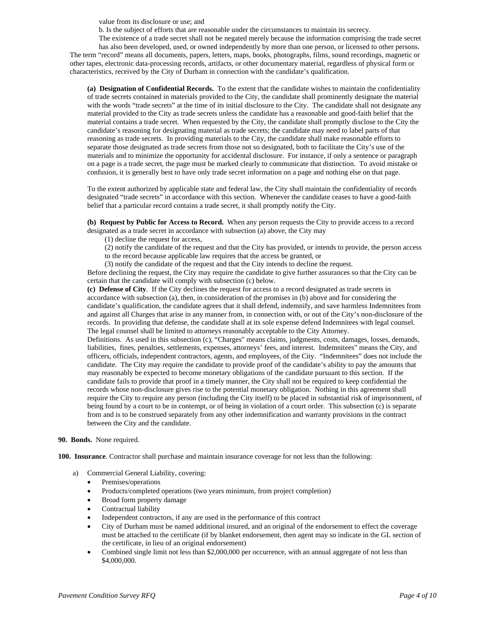value from its disclosure or use; and

b. Is the subject of efforts that are reasonable under the circumstances to maintain its secrecy.

The existence of a trade secret shall not be negated merely because the information comprising the trade secret has also been developed, used, or owned independently by more than one person, or licensed to other persons. The term "record" means all documents, papers, letters, maps, books, photographs, films, sound recordings, magnetic or other tapes, electronic data-processing records, artifacts, or other documentary material, regardless of physical form or characteristics, received by the City of Durham in connection with the candidate's qualification.

**(a) Designation of Confidential Records.** To the extent that the candidate wishes to maintain the confidentiality of trade secrets contained in materials provided to the City, the candidate shall prominently designate the material with the words "trade secrets" at the time of its initial disclosure to the City. The candidate shall not designate any material provided to the City as trade secrets unless the candidate has a reasonable and good-faith belief that the material contains a trade secret. When requested by the City, the candidate shall promptly disclose to the City the candidate's reasoning for designating material as trade secrets; the candidate may need to label parts of that reasoning as trade secrets. In providing materials to the City, the candidate shall make reasonable efforts to separate those designated as trade secrets from those not so designated, both to facilitate the City's use of the materials and to minimize the opportunity for accidental disclosure. For instance, if only a sentence or paragraph on a page is a trade secret, the page must be marked clearly to communicate that distinction. To avoid mistake or confusion, it is generally best to have only trade secret information on a page and nothing else on that page.

To the extent authorized by applicable state and federal law, the City shall maintain the confidentiality of records designated "trade secrets" in accordance with this section. Whenever the candidate ceases to have a good-faith belief that a particular record contains a trade secret, it shall promptly notify the City.

**(b) Request by Public for Access to Record.** When any person requests the City to provide access to a record designated as a trade secret in accordance with subsection (a) above, the City may

(1) decline the request for access,

(2) notify the candidate of the request and that the City has provided, or intends to provide, the person access to the record because applicable law requires that the access be granted, or

(3) notify the candidate of the request and that the City intends to decline the request.

Before declining the request, the City may require the candidate to give further assurances so that the City can be certain that the candidate will comply with subsection (c) below.

**(c) Defense of City**. If the City declines the request for access to a record designated as trade secrets in accordance with subsection (a), then, in consideration of the promises in (b) above and for considering the candidate's qualification, the candidate agrees that it shall defend, indemnify, and save harmless Indemnitees from and against all Charges that arise in any manner from, in connection with, or out of the City's non-disclosure of the records. In providing that defense, the candidate shall at its sole expense defend Indemnitees with legal counsel. The legal counsel shall be limited to attorneys reasonably acceptable to the City Attorney.

Definitions. As used in this subsection (c), "Charges" means claims, judgments, costs, damages, losses, demands, liabilities, fines, penalties, settlements, expenses, attorneys' fees, and interest. Indemnitees" means the City, and officers, officials, independent contractors, agents, and employees, of the City. "Indemnitees" does not include the candidate. The City may require the candidate to provide proof of the candidate's ability to pay the amounts that may reasonably be expected to become monetary obligations of the candidate pursuant to this section. If the candidate fails to provide that proof in a timely manner, the City shall not be required to keep confidential the records whose non-disclosure gives rise to the potential monetary obligation. Nothing in this agreement shall require the City to require any person (including the City itself) to be placed in substantial risk of imprisonment, of being found by a court to be in contempt, or of being in violation of a court order. This subsection (c) is separate from and is to be construed separately from any other indemnification and warranty provisions in the contract between the City and the candidate.

#### **90. Bonds.** None required.

**100. Insurance**. Contractor shall purchase and maintain insurance coverage for not less than the following:

- a) Commercial General Liability, covering:
	- Premises/operations
	- Products/completed operations (two years minimum, from project completion)
	- Broad form property damage
	- Contractual liability
	- Independent contractors, if any are used in the performance of this contract
	- City of Durham must be named additional insured, and an original of the endorsement to effect the coverage must be attached to the certificate (if by blanket endorsement, then agent may so indicate in the GL section of the certificate, in lieu of an original endorsement)
	- Combined single limit not less than \$2,000,000 per occurrence, with an annual aggregate of not less than \$4,000,000.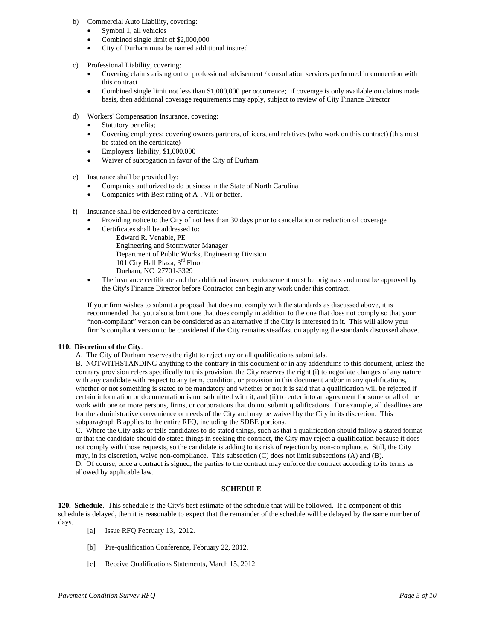- b) Commercial Auto Liability, covering:
	- Symbol 1, all vehicles
	- Combined single limit of \$2,000,000
	- City of Durham must be named additional insured
- c) Professional Liability, covering:
	- Covering claims arising out of professional advisement / consultation services performed in connection with this contract
	- Combined single limit not less than \$1,000,000 per occurrence; if coverage is only available on claims made basis, then additional coverage requirements may apply, subject to review of City Finance Director
- d) Workers' Compensation Insurance, covering:
	- Statutory benefits;
	- Covering employees; covering owners partners, officers, and relatives (who work on this contract) (this must be stated on the certificate)
	- Employers' liability, \$1,000,000
	- Waiver of subrogation in favor of the City of Durham
- e) Insurance shall be provided by:
	- Companies authorized to do business in the State of North Carolina
	- Companies with Best rating of A-, VII or better.
- f) Insurance shall be evidenced by a certificate:
	- Providing notice to the City of not less than 30 days prior to cancellation or reduction of coverage
	- Certificates shall be addressed to:
		- Edward R. Venable, PE Engineering and Stormwater Manager Department of Public Works, Engineering Division 101 City Hall Plaza, 3<sup>rd</sup> Floor Durham, NC 27701-3329
	- The insurance certificate and the additional insured endorsement must be originals and must be approved by the City's Finance Director before Contractor can begin any work under this contract.

If your firm wishes to submit a proposal that does not comply with the standards as discussed above, it is recommended that you also submit one that does comply in addition to the one that does not comply so that your "non-compliant" version can be considered as an alternative if the City is interested in it. This will allow your firm's compliant version to be considered if the City remains steadfast on applying the standards discussed above.

# **110. Discretion of the City**.

A. The City of Durham reserves the right to reject any or all qualifications submittals.

B. NOTWITHSTANDING anything to the contrary in this document or in any addendums to this document, unless the contrary provision refers specifically to this provision, the City reserves the right (i) to negotiate changes of any nature with any candidate with respect to any term, condition, or provision in this document and/or in any qualifications, whether or not something is stated to be mandatory and whether or not it is said that a qualification will be rejected if certain information or documentation is not submitted with it, and (ii) to enter into an agreement for some or all of the work with one or more persons, firms, or corporations that do not submit qualifications. For example, all deadlines are for the administrative convenience or needs of the City and may be waived by the City in its discretion. This subparagraph B applies to the entire RFQ, including the SDBE portions.

C. Where the City asks or tells candidates to do stated things, such as that a qualification should follow a stated format or that the candidate should do stated things in seeking the contract, the City may reject a qualification because it does not comply with those requests, so the candidate is adding to its risk of rejection by non-compliance. Still, the City may, in its discretion, waive non-compliance. This subsection (C) does not limit subsections (A) and (B). D. Of course, once a contract is signed, the parties to the contract may enforce the contract according to its terms as allowed by applicable law.

# **SCHEDULE**

**120. Schedule**. This schedule is the City's best estimate of the schedule that will be followed. If a component of this schedule is delayed, then it is reasonable to expect that the remainder of the schedule will be delayed by the same number of days.

- [a] Issue RFQ February 13, 2012.
- [b] Pre-qualification Conference, February 22, 2012,
- [c] Receive Qualifications Statements, March 15, 2012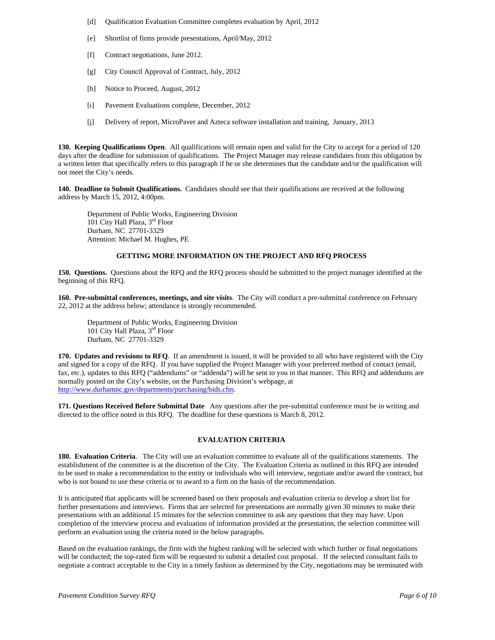- [d] Qualification Evaluation Committee completes evaluation by April, 2012
- [e] Shortlist of firms provide presentations, April/May, 2012
- [f] Contract negotiations, June 2012.
- [g] City Council Approval of Contract, July, 2012
- [h] Notice to Proceed, August, 2012
- [i] Pavement Evaluations complete, December, 2012
- [j] Delivery of report, MicroPaver and Azteca software installation and training, January, 2013

**130. Keeping Qualifications Open**. All qualifications will remain open and valid for the City to accept for a period of 120 days after the deadline for submission of qualifications. The Project Manager may release candidates from this obligation by a written letter that specifically refers to this paragraph if he or she determines that the candidate and/or the qualification will not meet the City's needs.

**140. Deadline to Submit Qualifications.** Candidates should see that their qualifications are received at the following address by March 15, 2012, 4:00pm.

Department of Public Works, Engineering Division 101 City Hall Plaza, 3rd Floor Durham, NC 27701-3329 Attention: Michael M. Hughes, PE

# **GETTING MORE INFORMATION ON THE PROJECT AND RFQ PROCESS**

**150. Questions.** Questions about the RFQ and the RFQ process should be submitted to the project manager identified at the beginning of this RFQ.

**160. Pre-submittal conferences, meetings, and site visits**. The City will conduct a pre-submittal conference on February 22, 2012 at the address below; attendance is strongly recommended.

Department of Public Works, Engineering Division 101 City Hall Plaza, 3rd Floor Durham, NC 27701-3329

**170. Updates and revisions to RFQ**. If an amendment is issued, it will be provided to all who have registered with the City and signed for a copy of the RFQ.If you have supplied the Project Manager with your preferred method of contact (email, fax, etc.), updates to this RFQ ("addendums" or "addenda") will be sent to you in that manner. This RFQ and addendums are normally posted on the City's website, on the Purchasing Division's webpage, at http://www.durhamnc.gov/departments/purchasing/bids.cfm.

**171. Questions Received Before Submittal Date** Any questions after the pre-submittal conference must be in writing and directed to the office noted in this RFQ. The deadline for these questions is March 8, 2012.

# **EVALUATION CRITERIA**

**180. Evaluation Criteria**. The City will use an evaluation committee to evaluate all of the qualifications statements. The establishment of the committee is at the discretion of the City. The Evaluation Criteria as outlined in this RFQ are intended to be used to make a recommendation to the entity or individuals who will interview, negotiate and/or award the contract, but who is not bound to use these criteria or to award to a firm on the basis of the recommendation.

It is anticipated that applicants will be screened based on their proposals and evaluation criteria to develop a short list for further presentations and interviews. Firms that are selected for presentations are normally given 30 minutes to make their presentations with an additional 15 minutes for the selection committee to ask any questions that they may have. Upon completion of the interview process and evaluation of information provided at the presentation, the selection committee will perform an evaluation using the criteria noted in the below paragraphs.

Based on the evaluation rankings, the firm with the highest ranking will be selected with which further or final negotiations will be conducted; the top-rated firm will be requested to submit a detailed cost proposal. If the selected consultant fails to negotiate a contract acceptable to the City in a timely fashion as determined by the City, negotiations may be terminated with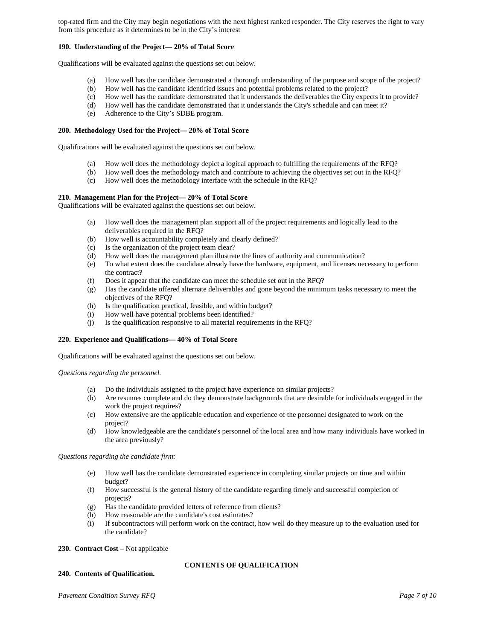top-rated firm and the City may begin negotiations with the next highest ranked responder. The City reserves the right to vary from this procedure as it determines to be in the City's interest

# **190. Understanding of the Project— 20% of Total Score**

Qualifications will be evaluated against the questions set out below.

- (a) How well has the candidate demonstrated a thorough understanding of the purpose and scope of the project?
- (b) How well has the candidate identified issues and potential problems related to the project?<br>(c) How well has the candidate demonstrated that it understands the deliverables the City expe
- How well has the candidate demonstrated that it understands the deliverables the City expects it to provide?
- (d) How well has the candidate demonstrated that it understands the City's schedule and can meet it?
- (e) Adherence to the City's SDBE program.

#### **200. Methodology Used for the Project— 20% of Total Score**

Qualifications will be evaluated against the questions set out below.

- (a) How well does the methodology depict a logical approach to fulfilling the requirements of the RFQ?
- (b) How well does the methodology match and contribute to achieving the objectives set out in the RFQ?
- (c) How well does the methodology interface with the schedule in the RFQ?

#### **210. Management Plan for the Project— 20% of Total Score**

Qualifications will be evaluated against the questions set out below.

- (a) How well does the management plan support all of the project requirements and logically lead to the deliverables required in the RFQ?
- (b) How well is accountability completely and clearly defined?
- 
- (c) Is the organization of the project team clear?<br>(d) How well does the management plan illustrat How well does the management plan illustrate the lines of authority and communication?
- (e) To what extent does the candidate already have the hardware, equipment, and licenses necessary to perform the contract?
- (f) Does it appear that the candidate can meet the schedule set out in the RFQ? (g) Has the candidate offered alternate deliverables and gone beyond the minim
- Has the candidate offered alternate deliverables and gone beyond the minimum tasks necessary to meet the objectives of the RFQ?
- (h) Is the qualification practical, feasible, and within budget?
- (i) How well have potential problems been identified?
- (j) Is the qualification responsive to all material requirements in the RFQ?

# **220. Experience and Qualifications— 40% of Total Score**

Qualifications will be evaluated against the questions set out below.

*Questions regarding the personnel.* 

- (a) Do the individuals assigned to the project have experience on similar projects?
- (b) Are resumes complete and do they demonstrate backgrounds that are desirable for individuals engaged in the work the project requires?
- (c) How extensive are the applicable education and experience of the personnel designated to work on the project?
- (d) How knowledgeable are the candidate's personnel of the local area and how many individuals have worked in the area previously?

*Questions regarding the candidate firm:*

- (e) How well has the candidate demonstrated experience in completing similar projects on time and within budget?
- (f) How successful is the general history of the candidate regarding timely and successful completion of projects?

**CONTENTS OF QUALIFICATION** 

- (g) Has the candidate provided letters of reference from clients?
- (h) How reasonable are the candidate's cost estimates?
- (i) If subcontractors will perform work on the contract, how well do they measure up to the evaluation used for the candidate?

## 230. Contract Cost – Not applicable

## **240. Contents of Qualification.**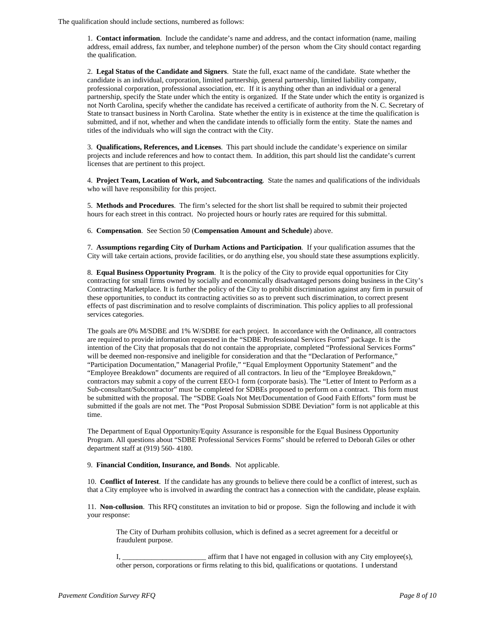The qualification should include sections, numbered as follows:

1. **Contact information**. Include the candidate's name and address, and the contact information (name, mailing address, email address, fax number, and telephone number) of the person whom the City should contact regarding the qualification.

2. **Legal Status of the Candidate and Signers**. State the full, exact name of the candidate. State whether the candidate is an individual, corporation, limited partnership, general partnership, limited liability company, professional corporation, professional association, etc. If it is anything other than an individual or a general partnership, specify the State under which the entity is organized. If the State under which the entity is organized is not North Carolina, specify whether the candidate has received a certificate of authority from the N. C. Secretary of State to transact business in North Carolina. State whether the entity is in existence at the time the qualification is submitted, and if not, whether and when the candidate intends to officially form the entity. State the names and titles of the individuals who will sign the contract with the City.

3. **Qualifications, References, and Licenses**. This part should include the candidate's experience on similar projects and include references and how to contact them. In addition, this part should list the candidate's current licenses that are pertinent to this project.

4. **Project Team, Location of Work, and Subcontracting**. State the names and qualifications of the individuals who will have responsibility for this project.

5. **Methods and Procedures**. The firm's selected for the short list shall be required to submit their projected hours for each street in this contract. No projected hours or hourly rates are required for this submittal.

6. **Compensation**. See Section 50 (**Compensation Amount and Schedule**) above.

7. **Assumptions regarding City of Durham Actions and Participation**. If your qualification assumes that the City will take certain actions, provide facilities, or do anything else, you should state these assumptions explicitly.

8. **Equal Business Opportunity Program**. It is the policy of the City to provide equal opportunities for City contracting for small firms owned by socially and economically disadvantaged persons doing business in the City's Contracting Marketplace. It is further the policy of the City to prohibit discrimination against any firm in pursuit of these opportunities, to conduct its contracting activities so as to prevent such discrimination, to correct present effects of past discrimination and to resolve complaints of discrimination. This policy applies to all professional services categories.

The goals are 0% M/SDBE and 1% W/SDBE for each project. In accordance with the Ordinance, all contractors are required to provide information requested in the "SDBE Professional Services Forms" package. It is the intention of the City that proposals that do not contain the appropriate, completed "Professional Services Forms" will be deemed non-responsive and ineligible for consideration and that the "Declaration of Performance," "Participation Documentation," Managerial Profile," "Equal Employment Opportunity Statement" and the "Employee Breakdown" documents are required of all contractors. In lieu of the "Employee Breakdown," contractors may submit a copy of the current EEO-1 form (corporate basis). The "Letter of Intent to Perform as a Sub-consultant/Subcontractor" must be completed for SDBEs proposed to perform on a contract. This form must be submitted with the proposal. The "SDBE Goals Not Met/Documentation of Good Faith Efforts" form must be submitted if the goals are not met. The "Post Proposal Submission SDBE Deviation" form is not applicable at this time.

The Department of Equal Opportunity/Equity Assurance is responsible for the Equal Business Opportunity Program. All questions about "SDBE Professional Services Forms" should be referred to Deborah Giles or other department staff at (919) 560- 4180.

## 9. **Financial Condition, Insurance, and Bonds**. Not applicable.

10. **Conflict of Interest**. If the candidate has any grounds to believe there could be a conflict of interest, such as that a City employee who is involved in awarding the contract has a connection with the candidate, please explain.

11. **Non-collusion**. This RFQ constitutes an invitation to bid or propose. Sign the following and include it with your response:

The City of Durham prohibits collusion, which is defined as a secret agreement for a deceitful or fraudulent purpose.

I, affirm that I have not engaged in collusion with any City employee(s), other person, corporations or firms relating to this bid, qualifications or quotations. I understand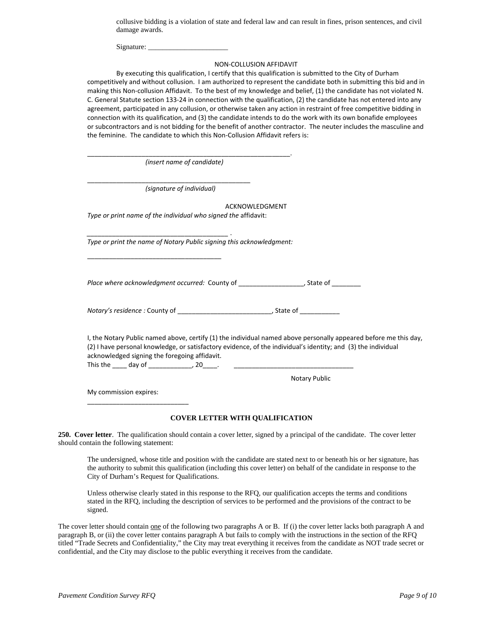collusive bidding is a violation of state and federal law and can result in fines, prison sentences, and civil damage awards.

Signature:

#### NON‐COLLUSION AFFIDAVIT

By executing this qualification, I certify that this qualification is submitted to the City of Durham competitively and without collusion. I am authorized to represent the candidate both in submitting this bid and in making this Non-collusion Affidavit. To the best of my knowledge and belief, (1) the candidate has not violated N. C. General Statute section 133‐24 in connection with the qualification, (2) the candidate has not entered into any agreement, participated in any collusion, or otherwise taken any action in restraint of free competitive bidding in connection with its qualification, and (3) the candidate intends to do the work with its own bonafide employees or subcontractors and is not bidding for the benefit of another contractor. The neuter includes the masculine and the feminine. The candidate to which this Non‐Collusion Affidavit refers is:

| (insert name of candidate)                                                                                                                                     |                                                                                                                  |
|----------------------------------------------------------------------------------------------------------------------------------------------------------------|------------------------------------------------------------------------------------------------------------------|
| (signature of individual)                                                                                                                                      |                                                                                                                  |
|                                                                                                                                                                | ACKNOWLEDGMENT                                                                                                   |
| Type or print name of the individual who signed the affidavit:                                                                                                 |                                                                                                                  |
| Type or print the name of Notary Public signing this acknowledgment:                                                                                           |                                                                                                                  |
| Place where acknowledgment occurred: County of ______________________, State of _________                                                                      |                                                                                                                  |
|                                                                                                                                                                |                                                                                                                  |
| (2) I have personal knowledge, or satisfactory evidence, of the individual's identity; and (3) the individual<br>acknowledged signing the foregoing affidavit. | I, the Notary Public named above, certify (1) the individual named above personally appeared before me this day, |
|                                                                                                                                                                | Notary Public                                                                                                    |
| My commission expires:                                                                                                                                         |                                                                                                                  |
|                                                                                                                                                                |                                                                                                                  |

# **COVER LETTER WITH QUALIFICATION**

**250. Cover letter**. The qualification should contain a cover letter, signed by a principal of the candidate. The cover letter should contain the following statement:

The undersigned, whose title and position with the candidate are stated next to or beneath his or her signature, has the authority to submit this qualification (including this cover letter) on behalf of the candidate in response to the City of Durham's Request for Qualifications.

Unless otherwise clearly stated in this response to the RFQ, our qualification accepts the terms and conditions stated in the RFQ, including the description of services to be performed and the provisions of the contract to be signed.

The cover letter should contain one of the following two paragraphs A or B. If (i) the cover letter lacks both paragraph A and paragraph B, or (ii) the cover letter contains paragraph A but fails to comply with the instructions in the section of the RFQ titled "Trade Secrets and Confidentiality," the City may treat everything it receives from the candidate as NOT trade secret or confidential, and the City may disclose to the public everything it receives from the candidate.